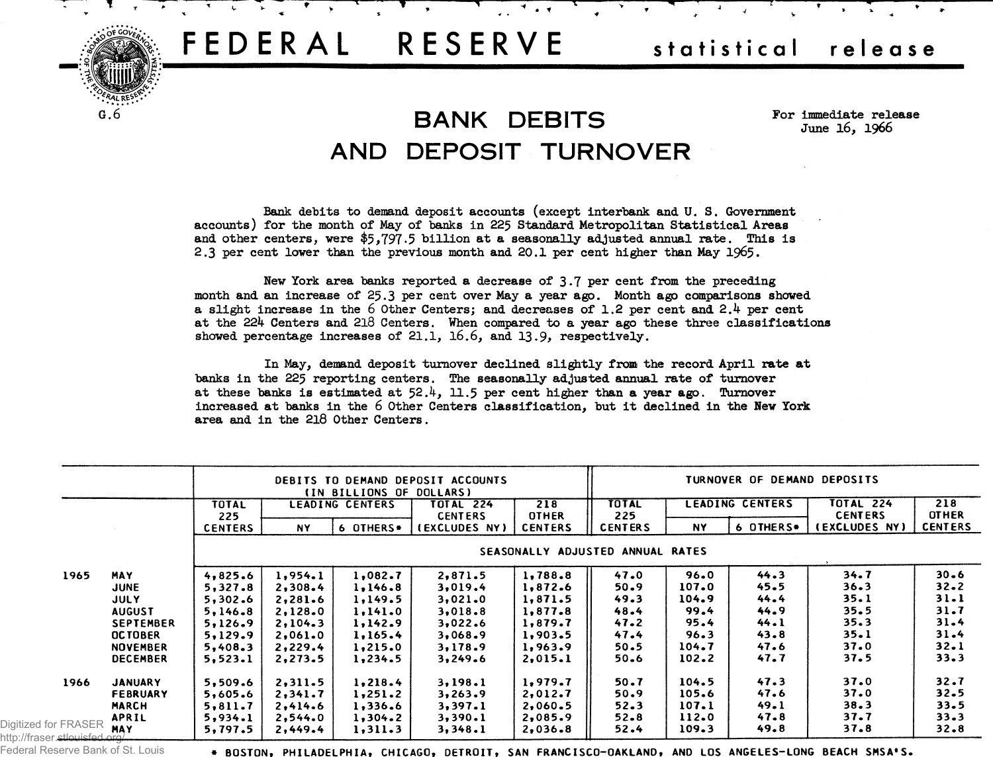# FEDERAL RESERVE

### statistical release

 $\mathbf{4}$ 

## **BANK DEBITS** AND DEPOSIT TURNOVER

 $\ddot{ }$  .  $\dot{ }$ 

For immediate release June 16, 1966

Bank debits to demand deposit accounts (except interbank and U.S. Government accounts) for the month of May of banks in 225 Standard Metropolitan Statistical Areas and other centers, were \$5,797.5 billion at a seasonally adjusted annual rate. This is 2.3 per cent lower than the previous month and 20.1 per cent higher than May 1965.

New York area banks reported a decrease of 3.7 per cent from the preceding month and an increase of 25.3 per cent over May a year ago. Month ago comparisons showed a slight increase in the 6 Other Centers; and decreases of 1.2 per cent and 2.4 per cent at the 224 Centers and 218 Centers. When compared to a year ago these three classifications showed percentage increases of  $21.1$ ,  $16.6$ , and  $13.9$ , respectively.

In May, demand deposit turnover declined slightly from the record April rate at banks in the 225 reporting centers. The seasonally adjusted annual rate of turnover at these banks is estimated at  $52.4$ . 11.5 per cent higher than a year ago. Turnover increased at banks in the 6 Other Centers classification, but it declined in the New York area and in the 218 Other Centers.

|                                                                  |                  | DEBITS TO DEMAND DEPOSIT ACCOUNTS<br>(IN BILLIONS OF DOLLARS) |           |           |                                 | TURNOVER OF DEMAND DEPOSITS    |                       |                        |           |                                 |                                |
|------------------------------------------------------------------|------------------|---------------------------------------------------------------|-----------|-----------|---------------------------------|--------------------------------|-----------------------|------------------------|-----------|---------------------------------|--------------------------------|
|                                                                  |                  | <b>LEADING CENTERS</b><br>TOTAL                               |           |           | <b>TOTAL 224</b>                | 218                            | <b>TOTAL</b>          | <b>LEADING CENTERS</b> |           | TOTAL 224                       | 218                            |
|                                                                  |                  | 225<br><b>CENTERS</b>                                         | <b>NY</b> | 6 OTHERS* | <b>CENTERS</b><br>(EXCLUDES NY) | <b>OTHER</b><br><b>CENTERS</b> | 225<br><b>CENTERS</b> | NY.                    | 6 OTHERS. | <b>CENTERS</b><br>(EXCLUDES NY) | <b>OTHER</b><br><b>CENTERS</b> |
|                                                                  |                  | SEASONALLY ADJUSTED ANNUAL RATES                              |           |           |                                 |                                |                       |                        |           |                                 |                                |
| 1965                                                             | <b>MAY</b>       | 4,825.6                                                       | 1,954.1   | 1,082.7   | 2,871.5                         | 1,788.8                        | 47.0                  | 96.0                   | 44.3      | 34.7                            | $30 - 6$                       |
|                                                                  | <b>JUNE</b>      | 5,327.8                                                       | 2,308.4   | 1,146.8   | 3,019.4                         | 1,872.6                        | 50.9                  | 107.0                  | 45.5      | $36 - 3$                        | $32 - 2$                       |
|                                                                  | <b>JULY</b>      | 5,302.6                                                       | 2,281.6   | 1,149.5   | 3,021.0                         | 1,871.5                        | 49.3                  | 104.9                  | 44.4      | 35.1                            | $31 - 1$                       |
|                                                                  | <b>AUGUST</b>    | 5,146.8                                                       | 2,128.0   | 1,141.0   | 3,018.8                         | 1,877.8                        | 48.4                  | 99.4                   | 44.9      | 35.5                            | $31 - 7$                       |
|                                                                  | <b>SEPTEMBER</b> | 5,126.9                                                       | 2,104.3   | 1,142.9   | 3,022.6                         | 1,879.7                        | 47.2                  | 95.4                   | 44.1      | 35.3                            | $31 - 4$                       |
|                                                                  | <b>OCTOBER</b>   | 5,129.9                                                       | 2,061.0   | 1,165.4   | 3,068.9                         | 1,903.5                        | 47.4                  | 96.3                   | 43.8      | 35.1                            | $31 - 4$                       |
|                                                                  | <b>NOVEMBER</b>  | 5,408.3                                                       | 2,229.4   | 1,215.0   | 3,178.9                         | 1,963.9                        | 50.5                  | 104.7                  | 47.6      | 37.0                            | 32.1                           |
|                                                                  | <b>DECEMBER</b>  | 5,523.1                                                       | 2,273.5   | 1,234.5   | 3,249.6                         | 2,015.1                        | 50.6                  | 102.2                  | 47.7      | 37.5                            | 33.3                           |
| 1966                                                             | <b>JANUARY</b>   | 5,509.6                                                       | 2,311.5   | 1,218.4   | 3,198.1                         | 1,979.7                        | 50.7                  | 104.5                  | 47.3      | 37.0                            | 32.7                           |
|                                                                  | <b>FEBRUARY</b>  | 5,605.6                                                       | 2,341.7   | 1,251.2   | 3,263.9                         | 2,012.7                        | 50.9                  | 105.6                  | 47.6      | 37.0                            | 32.5                           |
|                                                                  | <b>MARCH</b>     | 5,811.7                                                       | 2,414.6   | 1,336.6   | 3,397.1                         | 2,060.5                        | 52.3                  | 107.1                  | 49.1      | 38.3                            | 33.5                           |
|                                                                  | <b>APRIL</b>     | 5,934.1                                                       | 2,544.0   | 1,304.2   | 3,390.1                         | 2,085.9                        | $52 - 8$              | 112.0                  | 47.8      | 37.7                            | 33.3                           |
| Digitized for FRASER<br>http://fraser. <del>stlouisfed.org</del> | <b>MAY</b>       | 5,797.5                                                       | 2,449.4   | 1,311.3   | 3,348.1                         | 2,036.8                        | 52.4                  | 109.3                  | 49.8      | 37.8                            | $32 - 8$                       |

Federal Reserve Bank of St. Louis

+ BOSTON. PHILADELPHIA, CHICAGO, DETROIT, SAN FRANCISCO-OAKLAND, AND LOS ANGELES-LONG BEACH SMSA'S.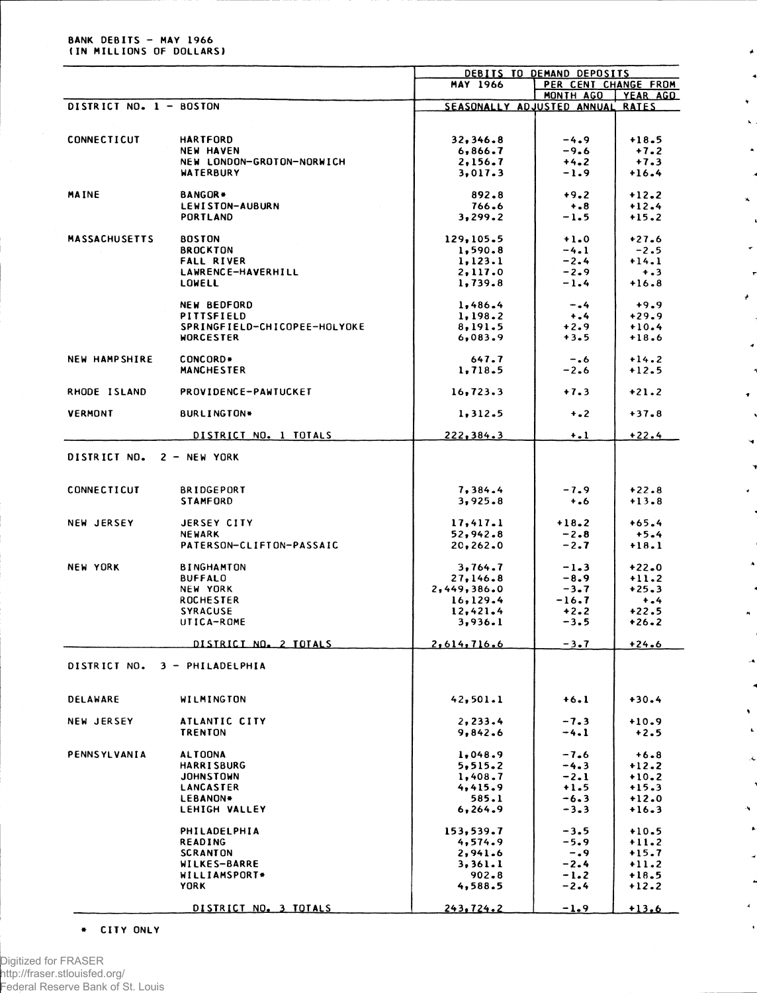#### **BANK DEBITS - MAY 1966 (IN MILLIONS OF DOLLARS)**

|                         |                              | DEBITS TO DEMAND DEPOSITS        |                      |          |  |
|-------------------------|------------------------------|----------------------------------|----------------------|----------|--|
|                         |                              | <b>MAY 1966</b>                  | PER CENT CHANGE FROM |          |  |
|                         |                              |                                  | MONTH AGO            | YEAR AGO |  |
| DISTRICT NO. 1 - BOSTON |                              | SEASONALLY ADJUSTED ANNUAL RATES |                      |          |  |
|                         |                              |                                  |                      |          |  |
| CONNECTICUT             | <b>HARTFORD</b>              | 32,346.8                         | $-4.9$               | $+18.5$  |  |
|                         | <b>NEW HAVEN</b>             | 6,866.7                          | $-9.6$               | $+7.2$   |  |
|                         | NEW LONDON-GROTON-NORWICH    | 2,156.7                          | $+4.2$               | $+7.3$   |  |
|                         | <b>WATERBURY</b>             | 3,017.3                          | $-1.9$               | $+16.4$  |  |
|                         |                              |                                  |                      |          |  |
| <b>MAINE</b>            | <b>BANGOR*</b>               | 892.8                            | $+9.2$               | $+12.2$  |  |
|                         | LEWISTON-AUBURN              | 766.6                            | $+ 0.8$              | $+12.4$  |  |
|                         | PORTLAND                     | 3,299.2                          | $-1.5$               | $+15.2$  |  |
|                         |                              |                                  |                      |          |  |
| <b>MASSACHUSETTS</b>    | <b>BOSTON</b>                | 129,105.5                        | $+1.0$               | $+27.6$  |  |
|                         | <b>BROCKTON</b>              | 1,590.8                          | $-4.1$               | $-2.5$   |  |
|                         | <b>FALL RIVER</b>            | 1, 123.1                         | $-2.4$               | $+14.1$  |  |
|                         | LAWRENCE-HAVERHILL           | 2,117.0                          | $-2.9$               | $+ .3$   |  |
|                         | <b>LOWELL</b>                | 1,739.8                          | $-1.4$               | $+16.8$  |  |
|                         |                              |                                  |                      |          |  |
|                         | <b>NEW BEDFORD</b>           | 1,486.4                          | $-0.4$               | $+9.9$   |  |
|                         | PITTSFIELD                   | 1,198.2                          | $+ 1.4$              | $+29.9$  |  |
|                         | SPRINGFIELD-CHICOPEE-HOLYOKE | 8,191.5                          | $+2.9$               | $+10.4$  |  |
|                         | <b>WORCESTER</b>             | 6,083.9                          | $+3.5$               | $+18.6$  |  |
| <b>NEW HAMPSHIRE</b>    | CONCORD*                     | 647.7                            | $-0.6$               | $+14.2$  |  |
|                         | <b>MANCHESTER</b>            | 1,718.5                          | $-2.6$               | $+12.5$  |  |
|                         |                              |                                  |                      |          |  |
| RHODE ISLAND            | <b>PROVIDENCE-PAWTUCKET</b>  | 16,723.3                         | $+7.3$               | $+21.2$  |  |
|                         |                              |                                  |                      |          |  |
| <b>VERMONT</b>          | <b>BURLINGTON*</b>           | 1,312.5                          | $+$ .2               | $+37.8$  |  |
|                         |                              |                                  |                      |          |  |
|                         | DISTRICT NO. 1 TOTALS        | 222, 384.3                       | $+$ .1               | $+22.4$  |  |
|                         |                              |                                  |                      |          |  |
| DISTRICT NO.            | $2 - NEW$ YORK               |                                  |                      |          |  |
|                         |                              |                                  |                      |          |  |
| CONNECTICUT             | <b>BRIDGEPORT</b>            | 7,384.4                          | $-7.9$               | $+22.8$  |  |
|                         | <b>STAMFORD</b>              | 3,925.8                          | $+ 0.6$              | $+13.8$  |  |
|                         |                              |                                  |                      |          |  |
| <b>NEW JERSEY</b>       | JERSEY CITY                  | 17,417.1                         | $+18.2$              | $+65.4$  |  |
|                         | <b>NEWARK</b>                | 52,942.8                         | $-2.8$               | $+5.4$   |  |
|                         | PATERSON-CLIFTON-PASSAIC     | 20, 262.0                        | $-2.7$               | $+18.1$  |  |
|                         |                              |                                  |                      |          |  |
| <b>NEW YORK</b>         | <b>BINGHAMTON</b>            | 3,764.7                          | $-1.3$               | $+22.0$  |  |
|                         | <b>BUFFALO</b>               | 27,146.8                         | $-8.9$               | $+11.2$  |  |
|                         | NEW YORK                     | 2,449,386.0                      | $-3.7$               | $+25.3$  |  |
|                         | <b>ROCHESTER</b>             | 16, 129.4                        | $-16.7$              | $+ - 4$  |  |
|                         | <b>SYRACUSE</b>              | 12,421.4                         | $+2.2$               | $+22.5$  |  |
|                         | UTICA-ROME                   | 3,936.1                          | $-3.5$               | $+26.2$  |  |
|                         |                              |                                  |                      |          |  |
|                         | DISTRICT NO. 2 TOTALS        | 2,614,716.6                      | $-3.7$               | $+24.6$  |  |
|                         | 3 - PHILADELPHIA             |                                  |                      |          |  |
| DISTRICT NO.            |                              |                                  |                      |          |  |
|                         |                              |                                  |                      |          |  |
| <b>DELAWARE</b>         | WILMINGTON                   | 42,501.1                         | $+6.1$               | $+30.4$  |  |
|                         |                              |                                  |                      |          |  |
| <b>NEW JERSEY</b>       | ATLANTIC CITY                | 2,233.4                          | $-7.3$               | $+10.9$  |  |
|                         | <b>TRENTON</b>               | 9,842.6                          | $-4.1$               | $+2.5$   |  |
|                         |                              |                                  |                      |          |  |
| PENNSYLVANIA            | <b>ALTOONA</b>               | 1,048.9                          | $-7.6$               | $+6.8$   |  |
|                         | <b>HARRISBURG</b>            | 5.515.2                          | $-4.3$               | $+12.2$  |  |
|                         | <b>JOHNSTOWN</b>             | 1,408.7                          | $-2.1$               | $+10.2$  |  |
|                         | <b>LANCASTER</b>             | 4,415.9                          | $+1.5$               | $+15.3$  |  |
|                         | LEBANON*                     | 585.1                            | $-6.3$               | $+12.0$  |  |
|                         | LEHIGH VALLEY                | 6,264.9                          | $-3 - 3$             | $+16.3$  |  |
|                         |                              |                                  |                      |          |  |
|                         | PHILADELPHIA                 | 153,539.7                        | $-3.5$               | $+10.5$  |  |
|                         | READING                      | 4,574.9                          | $-5.9$               | $+11.2$  |  |
|                         | <b>SCRANTON</b>              | 2,941.6                          | $-0.9$               | $+15.7$  |  |
|                         | <b>WILKES-BARRE</b>          | 3,361.1                          | $-2.4$               | $+11.2$  |  |
|                         | WILLIAMSPORT*<br><b>YORK</b> | $902 - 8$                        | $-1.2$               | $+18.5$  |  |
|                         |                              | 4,588.5                          | $-2.4$               | $+12.2$  |  |
|                         | DISTRICT NO. 3 TOTALS        | 243,724.2                        | $-1.9$               | $+13.6$  |  |
|                         |                              |                                  |                      |          |  |

Ä

 $\hat{\mathbf{x}}$ 

 $\pmb{\downarrow}$ 

Ñ

 $\hat{\textbf{t}}$ 

**\* CITY ONLY**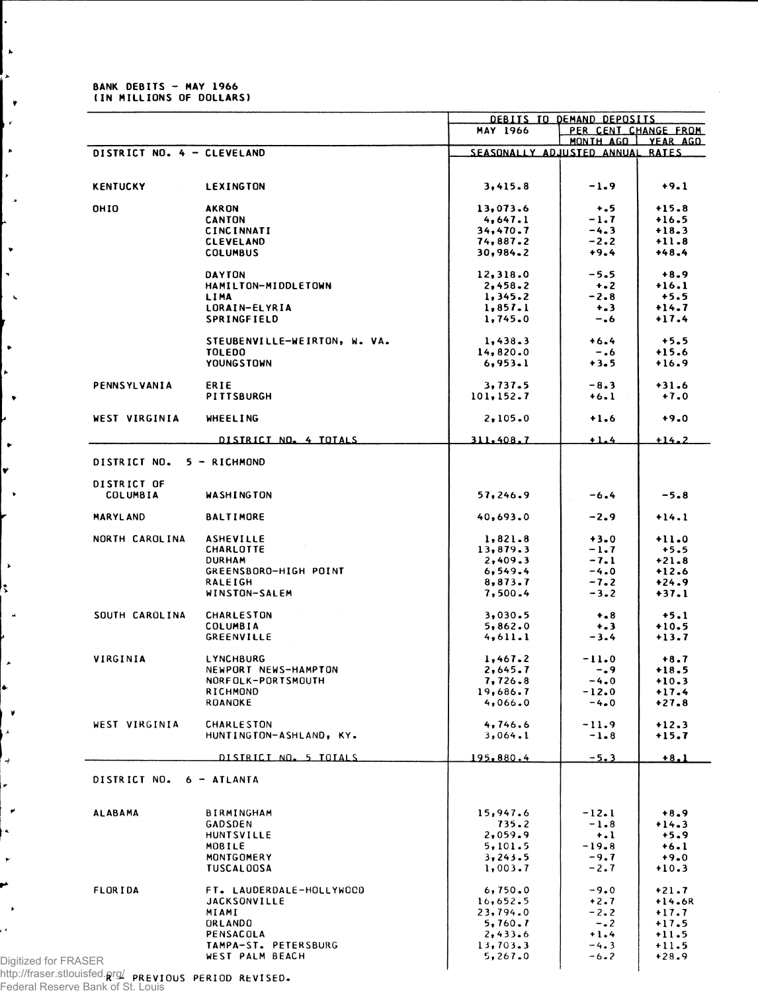#### **BANK DEBITS - MAY 1966 (IN MILLIONS OF DOLLARS)**

 $\mathbf{k}$  $\ddot{\phantom{a}}$ 

 $\bar{\mathbf{v}}$  $\mathbf{r}$ 

|                            |                                                 |                                  | DEBITS TO DEMAND DEPOSITS |                      |
|----------------------------|-------------------------------------------------|----------------------------------|---------------------------|----------------------|
|                            |                                                 | <b>MAY 1966</b>                  | PER CENT CHANGE FROM      |                      |
| DISTRICT NO. 4 - CLEVELAND |                                                 | SEASONALLY ADJUSTED ANNUAL RATES |                           | MONTH AGO I YEAR AGO |
|                            |                                                 |                                  |                           |                      |
|                            |                                                 |                                  |                           |                      |
| <b>KENTUCKY</b>            | LEXINGTON                                       | 3,415.8                          | $-1.9$                    | $+9.1$               |
| <b>OHIO</b>                | <b>AKRON</b>                                    | 13,073.6                         | $+ .5$                    | $+15.8$              |
|                            | <b>CANTON</b>                                   | 4,647.1                          | $-1.7$                    | $+16.5$              |
|                            | <b>CINCINNATI</b>                               | 34,470.7                         | $-4.3$                    | $+18.3$              |
|                            | <b>CLEVELAND</b>                                | 74,887.2                         | $-2.2$                    | $+11.8$              |
|                            | <b>COLUMBUS</b>                                 | 30,984.2                         | $+9.4$                    | $+48.4$              |
|                            | <b>DAYTON</b>                                   | 12,318.0                         | $-5.5$                    | $+8.9$               |
|                            | HAMILTON-MIDDLETOWN                             | 2,458.2                          | $+ 2$                     | $+16.1$              |
|                            | LIMA                                            | 1,345.2                          | $-2.8$                    | $+5.5$               |
|                            | LORAIN-ELYRIA                                   | 1,857.1                          | $+ - 3$                   | $+14.7$              |
|                            | SPRINGFIELD                                     | 1,745.0                          | -.6                       | $+17.4$              |
|                            |                                                 |                                  |                           |                      |
|                            | STEUBENVILLE-WEIRTON, W. VA.                    | 1,438.3                          | $+6.4$                    | $+5.5$               |
|                            | <b>TOLEDO</b>                                   | 14,820.0                         | $-0.6$                    | $+15.6$              |
|                            | YOUNGSTOWN                                      | 6,953.1                          | $+3.5$                    | $+16.9$              |
| PENNSYLVANIA               | ERIE                                            | 3.737.5                          | $-8.3$                    | $+31.6$              |
|                            | PITTSBURGH                                      | 101,152.7                        | $+6.1$                    | $+7.0$               |
|                            |                                                 |                                  |                           |                      |
| WEST VIRGINIA              | <b>WHEELING</b>                                 | 2,105.0                          | $+1.6$                    | $+9.0$               |
|                            |                                                 |                                  |                           |                      |
|                            | DISTRICT NO. 4 TOTALS                           | 311.408.7                        | $+1.4$                    | $+14.2$              |
| DISTRICT NO.               | 5 - RICHMOND                                    |                                  |                           |                      |
|                            |                                                 |                                  |                           |                      |
| DISTRICT OF                |                                                 |                                  |                           |                      |
| <b>COLUMBIA</b>            | WASHINGTON                                      | 57,246.9                         | $-6.4$                    | $-5.8$               |
|                            |                                                 |                                  |                           |                      |
| <b>MARYLAND</b>            | BALTIMORE                                       | 40,693.0                         | $-2.9$                    | $+14.1$              |
| NORTH CAROLINA             | <b>ASHEVILLE</b>                                | 1,821.8                          | $+3.0$                    | $+11.0$              |
|                            | <b>CHARLOTTE</b>                                | 13,879.3                         | $-1.7$                    | $+5.5$               |
|                            | <b>DURHAM</b>                                   | 2,409.3                          | $-7.1$                    | $+21.8$              |
|                            | GREENSBORO-HIGH POINT                           | 6, 549.4                         | $-4.0$                    | $+12.6$              |
|                            | RALEIGH                                         | 8,873.7                          | $-7.2$                    | $+24.9$              |
|                            | WINSTON-SALEM                                   | 7,500.4                          | $-3.2$                    | $+37.1$              |
|                            |                                                 |                                  |                           |                      |
| SOUTH CAROLINA             | <b>CHARLESTON</b>                               | 3,030.5                          | $+ - 8$                   | $+5.1$               |
|                            | COLUMBIA<br><b>GREENVILLE</b>                   | 5,862.0<br>4,611.1               | $+ 3$<br>$-3.4$           | $+10.5$<br>$+13.7$   |
|                            |                                                 |                                  |                           |                      |
| VIRGINIA                   | LYNCHBURG                                       | 1,467.2                          | $-11.0$                   | $+8.7$               |
|                            | NEWPORT NEWS-HAMPTON                            | 2,645.7                          | $-0.9$                    | $+18.5$              |
|                            | NORFOLK-PORTSMOUTH                              | 7,726.8                          | $-4.0$                    | $+10.3$              |
|                            | RICHMOND                                        | 19,686.7                         | $-12.0$                   | $+17.4$              |
|                            | ROANOKE                                         | 4,066.0                          | -4.0                      | $+27.8$              |
| WEST VIRGINIA              | <b>CHARLESTON</b>                               | 4,746.6                          | $-11.9$                   | $+12.3$              |
|                            | HUNTINGTON-ASHLAND, KY.                         | 3,064.1                          | $-1 - 8$                  | $+15.7$              |
|                            |                                                 |                                  |                           |                      |
|                            | DISTRICT NO. 5 TOTALS                           | 195,880.4                        | $-5.3$                    | $+8.1$               |
|                            |                                                 |                                  |                           |                      |
| DISTRICT NO.               | 6 - ATLANTA                                     |                                  |                           |                      |
|                            |                                                 |                                  |                           |                      |
| <b>ALABAMA</b>             | <b>BIRMINGHAM</b>                               | 15,947.6                         | $-12.1$                   | $+8.9$               |
|                            | GADSDEN                                         | 735.2                            | $-1.8$                    | $+14.3$              |
|                            | <b>HUNTSVILLE</b>                               | 2,059.9                          | $\dots$                   | $+5.9$               |
|                            | MOBILE                                          | 5,101.5                          | $-19.8$                   | $+6.1$               |
|                            | MONTGOMERY                                      | 3,243.5                          | $-9.7$                    | $+9.0$               |
|                            | <b>TUSCALOOSA</b>                               | 1,003.7                          | $-2.7$                    | $+10.3$              |
|                            |                                                 |                                  |                           |                      |
| <b>FLORIDA</b>             | FT. LAUDERDALE-HOLLYWOCD<br><b>JACKSONVILLE</b> | 6,750.0<br>16,652.5              | $-9.0$<br>$+2.7$          | $+21.7$<br>$+14.6R$  |
|                            | MIAMI                                           | 23,794.0                         | $-2.2$                    | $+17.7$              |
|                            | ORLANDO                                         | 5,760.7                          | $-0.2$                    | $+17.5$              |
|                            | <b>PENSACOLA</b>                                | 2,433.6                          | $+1.4$                    | $+11.5$              |
|                            | TAMPA-ST. PETERSBURG                            | 13,703.3                         | $-4.3$                    | $+11.5$              |
|                            | WEST PALM BEACH                                 | 5,267.0                          | $-6 - 2$                  | $+28.9$              |
| Digitized for FRASER       |                                                 |                                  |                           |                      |
|                            |                                                 |                                  |                           |                      |

**R - PREVIOUS PERIOD REVISED.** http://fraser.stlouisfed.org/

Federal Reserve Bank of St. Louis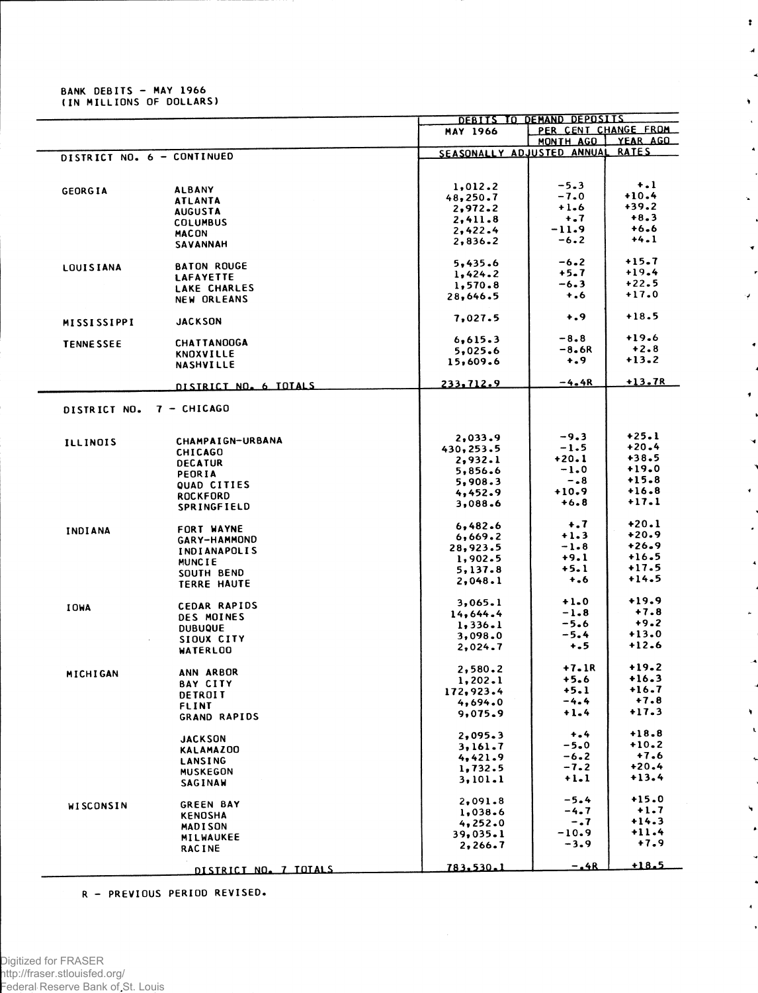## BANK DEBITS - MAY 1966<br>(IN MILLIONS OF DOLLARS)

|                            |                       |                            | DEBITS TO DEMAND DEPOSITS |                      |  |
|----------------------------|-----------------------|----------------------------|---------------------------|----------------------|--|
|                            |                       | <b>MAY 1966</b>            |                           | PER CENT CHANGE FROM |  |
|                            |                       |                            | MONTH AGO                 | YEAR AGO             |  |
| DISTRICT NO. 6 - CONTINUED |                       | SEASONALLY ADJUSTED ANNUAL |                           | <b>RATES</b>         |  |
|                            |                       |                            |                           |                      |  |
|                            |                       |                            |                           |                      |  |
|                            |                       | 1,012.2                    | $-5.3$                    | $+$ .1               |  |
| <b>GEORGIA</b>             | <b>ALBANY</b>         |                            | $-7.0$                    | $+10.4$              |  |
|                            | <b>ATLANTA</b>        | 48,250.7                   |                           | $+39.2$              |  |
|                            | <b>AUGUSTA</b>        | 2,972.2                    | $+1.6$                    |                      |  |
|                            | <b>COLUMBUS</b>       | 2,411.8                    | $+$ .7                    | $+8.3$               |  |
|                            | <b>MACON</b>          | 2,422.4                    | $-11.9$                   | $+6.6$               |  |
|                            | <b>SAVANNAH</b>       | 2,836.2                    | $-6.2$                    | $+4.1$               |  |
|                            |                       |                            |                           |                      |  |
|                            | <b>BATON ROUGE</b>    | 5,435.6                    | $-6.2$                    | $+15.7$              |  |
| <b>LOUISIANA</b>           | LAFAYETTE             | 1,424.2                    | $+5 - 7$                  | $+19.4$              |  |
|                            |                       | 1,570.8                    | $-6.3$                    | $+22.5$              |  |
|                            | LAKE CHARLES          | 28,646.5                   | $+ .6$                    | $+17.0$              |  |
|                            | <b>NEW ORLEANS</b>    |                            |                           |                      |  |
|                            |                       |                            | $+ 0.9$                   | $+18.5$              |  |
| <b>MISSISSIPPI</b>         | <b>JACKSON</b>        | 7,027.5                    |                           |                      |  |
|                            |                       |                            |                           | $+19.6$              |  |
| <b>TENNESSEE</b>           | <b>CHATTANOOGA</b>    | 6,615.3                    | $-8.8$                    |                      |  |
|                            | <b>KNOXVILLE</b>      | 5,025.6                    | $-8.6R$                   | $+2.8$               |  |
|                            | <b>NASHVILLE</b>      | 15,609.6                   | $+$ .9                    | $+13.2$              |  |
|                            |                       |                            |                           |                      |  |
|                            | DISTRICT NO. 6 TOTALS | 233,712.9                  | $-4.4R$                   | $+13.7R$             |  |
|                            |                       |                            |                           |                      |  |
|                            |                       |                            |                           |                      |  |
| DISTRICT NO.               | $7 - CHICAGO$         |                            |                           |                      |  |
|                            |                       |                            |                           |                      |  |
|                            |                       | 2,033.9                    | $-9.3$                    | $+25.1$              |  |
| <b>ILLINOIS</b>            | CHAMPAIGN-URBANA      |                            | $-1.5$                    | $+20.4$              |  |
|                            | <b>CHICAGO</b>        | 430,253.5                  | $+20.1$                   | $+38.5$              |  |
|                            | <b>DECATUR</b>        | 2,932.1                    |                           | $+19.0$              |  |
|                            | PEORIA                | 5,856.6                    | $-1.0$                    |                      |  |
|                            | QUAD CITIES           | 5,908.3                    | $-0.8$                    | $+15.8$              |  |
|                            | <b>ROCKFORD</b>       | 4,452.9                    | $+10.9$                   | $+16.8$              |  |
|                            | SPRINGFIELD           | 3,088.6                    | $+6.8$                    | $+17.1$              |  |
|                            |                       |                            |                           |                      |  |
|                            |                       | 6,482.6                    | $\ddotsc$                 | $+20.1$              |  |
| INDIANA                    | FORT WAYNE            | 6,669.2                    | $+1.3$                    | $+20.9$              |  |
|                            | GARY-HAMMOND          | 28,923.5                   | $-1.8$                    | $+26.9$              |  |
|                            | <b>INDIANAPOLIS</b>   |                            | $+9.1$                    | $+16.5$              |  |
|                            | <b>MUNCIE</b>         | 1,902.5                    |                           | $+17.5$              |  |
|                            | SOUTH BEND            | 5,137.8                    | $+5.1$                    |                      |  |
|                            | <b>TERRE HAUTE</b>    | 2,048.1                    | $+ 1.6$                   | $+14.5$              |  |
|                            |                       |                            |                           |                      |  |
| <b>IOWA</b>                | <b>CEDAR RAPIDS</b>   | 3,065.1                    | $+1.0$                    | $+19.9$              |  |
|                            | DES MOINES            | 14,644.4                   | $-1.8$                    | $+7.8$               |  |
|                            |                       | 1,336.1                    | -5.6                      | $+9.2$               |  |
|                            | <b>DUBUQUE</b>        | 3,098.0                    | $-5.4$                    | $+13.0$              |  |
|                            | SIOUX CITY            | 2,024.7                    | $+ 5.5$                   | $+12.6$              |  |
|                            | <b>WATERLOO</b>       |                            |                           |                      |  |
|                            |                       |                            | $+7.1R$                   | $+19.2$              |  |
| MICHIGAN                   | ANN ARBOR             | 2,580.2                    |                           | $+16.3$              |  |
|                            | BAY CITY              | 1, 202.1                   | $+5.6$                    | $+16.7$              |  |
|                            | DETROIT               | 172,923.4                  | $+5.1$                    |                      |  |
|                            | <b>FLINT</b>          | 4,694.0                    | $-4.4$                    | $+7.8$               |  |
|                            | <b>GRAND RAPIDS</b>   | 9,075.9                    | $+1.4$                    | $+17.3$              |  |
|                            |                       |                            |                           |                      |  |
|                            | <b>JACKSON</b>        | 2,095.3                    | $+$ .4                    | $+18.8$              |  |
|                            |                       | 3.161.7                    | $-5.0$                    | $+10.2$              |  |
|                            | <b>KALAMAZOO</b>      | 4,421.9                    | $-6.2$                    | $+7.6$               |  |
|                            | LANSING               | 1,732.5                    | $-7.2$                    | $+20.4$              |  |
|                            | <b>MUSKEGON</b>       |                            | $+1.1$                    | $+13.4$              |  |
|                            | SAGINAW               | 3,101.1                    |                           |                      |  |
|                            |                       |                            |                           | $+15.0$              |  |
| WISCONSIN                  | <b>GREEN BAY</b>      | 2,091.8                    | $-5.4$                    |                      |  |
|                            | <b>KENOSHA</b>        | 1,038.6                    | $-4.7$                    | $+1.7$               |  |
|                            | <b>MADISON</b>        | 4,252.0                    | $-1.7$                    | $+14.3$              |  |
|                            | MILWAUKEE             | 39,035.1                   | $-10.9$                   | $+11.4$              |  |
|                            | <b>RACINE</b>         | 2,266.7                    | $-3.9$                    | $+7.9$               |  |
|                            |                       |                            |                           |                      |  |
|                            | DISTRICT NO. 7 TOTALS | 783.530.1                  | <u>-.4R</u>               | +18.5                |  |
|                            |                       |                            |                           |                      |  |

 $\ddot{\phantom{a}}$ 

 $\overline{a}$ ×

 $\hat{\mathbf{y}}$  $\mathbf{r}_\mathrm{c}$ 

 $\hat{\mathbf{A}}$  $\overline{\phantom{a}}$  $\mathbf{x}^{\prime}$ 

 $\bar{\mathbf{v}}$ 

ų.

 $\ddot{\phantom{1}}$ 

 $\bullet$ 

 $\bullet$ 

 $\epsilon$ 

 $\ddot{\phantom{1}}$ 

 $\bar{\mathbf{r}}$ 

 $\overline{\mathbf{A}}$ 

 $\pmb{\mathsf{v}}$  $\mathbf{A}$ 

 $\ddot{\phantom{0}}$ 

 $\hat{\mathbf{y}}$ 

Ň,

 $\overline{A}$ ,

R - PREVIOUS PERIOD REVISED.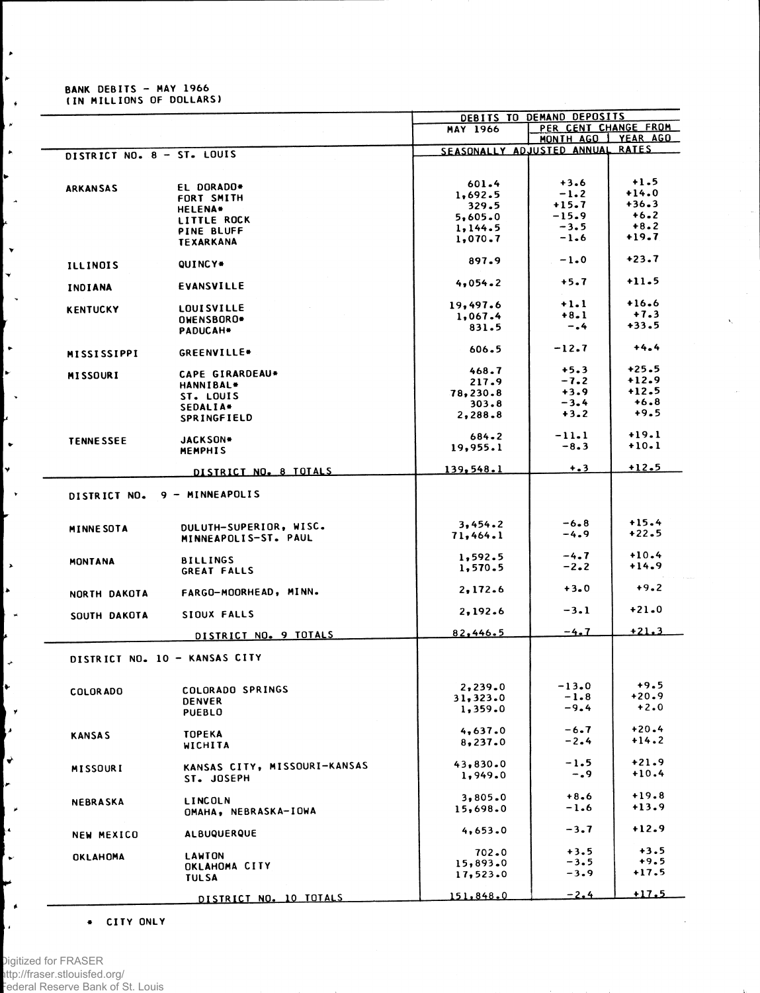# **BANK DEBITS - MAY 1966<br>(IN MILLIONS OF DOLLARS)**

 $\ddot{\phantom{1}}$  $\star$ 

 $\rightarrow$ Ļ,

L, ↳  $\overline{a}$ 

 $\vert \cdot \vert$  $\vert$   $\downarrow$  $\mathbb{R}^2$ 

 $\ddot{\phantom{1}}$  $\mathbf{r}$  $\mathbf{I}$  , þ.  $\bullet$  $\overline{\mathbf{v}}$  $\mathbf{L}$ 

 $\overline{\phantom{a}}$ **A** i.<br>H

 $\vert \hspace{0.1 cm} \star \hspace{0.1 cm}$  $\left| \cdot \right|$ 

ΓÝ M !↓ ı. ∣ ¥ ķ.

l v

 $\blacksquare$ 

ļ.

|                            |                               |                            | DEBITS TO DEMAND DEPOSITS |               |
|----------------------------|-------------------------------|----------------------------|---------------------------|---------------|
|                            |                               | MAY 1966                   | PER CENT CHANGE FROM      |               |
|                            |                               |                            | MONTH AGO   YEAR AGO      |               |
|                            |                               | SEASONALLY ADJUSTED ANNUAL |                           | <b>RATES</b>  |
| DISTRICT NO. 8 - ST. LOUIS |                               |                            |                           |               |
|                            |                               |                            |                           |               |
|                            |                               | 601.4                      | $+3.6$                    | $+1.5$        |
| <b>ARKANSAS</b>            | EL DORADO*                    |                            | $-1.2$                    | $+14.0$       |
|                            | FORT SMITH                    | 1,692.5                    | $+15.7$                   | $+36.3$       |
|                            | <b>HELENA*</b>                | 329.5                      |                           |               |
|                            | <b>LITTLE ROCK</b>            | 5,605.0                    | $-15.9$                   | $+6.2$        |
|                            | <b>PINE BLUFF</b>             | 1, 144.5                   | $-3.5$                    | $+8.2$        |
|                            | <b>TEXARKANA</b>              | 1,070.7                    | $-1.6$                    | $+19.7$       |
|                            |                               |                            |                           |               |
|                            |                               | 897.9                      | $-1.0$                    | $+23.7$       |
| <b>ILLINOIS</b>            | QUINCY*                       |                            |                           |               |
|                            |                               | 4,054.2                    | $+5.7$                    | $+11.5$       |
| INDIANA                    | <b>EVANSVILLE</b>             |                            |                           |               |
|                            |                               |                            |                           | $+16.6$       |
| <b>KENTUCKY</b>            | <b>LOUISVILLE</b>             | 19,497.6                   | $+1.1$                    |               |
|                            | OWENSBORO*                    | 1,067.4                    | $+8.1$                    | $+7.3$        |
|                            | PADUCAH*                      | 831.5                      | $-0.4$                    | $+33.5$       |
|                            |                               |                            |                           |               |
|                            |                               | $606 - 5$                  | $-12.7$                   | $+4.4$        |
| <b>MISSISSIPPI</b>         | GREENVILLE*                   |                            |                           |               |
|                            |                               | 468.7                      | $+5.3$                    | $+25.5$       |
| <b>MISSOURI</b>            | CAPE GIRARDEAU*               | 217.9                      | $-7.2$                    | $+12.9$       |
|                            | HANNIBAL*                     |                            |                           | $+12.5$       |
|                            | ST. LOUIS                     | 78,230.8                   | $+3.9$                    |               |
|                            | SEDALIA*                      | 303.8                      | $-3.4$                    | $+6.8$        |
|                            | SPRINGFIELD                   | 2,288.8                    | $+3.2$                    | $+9.5$        |
|                            |                               |                            |                           |               |
|                            | <b>JACKSON*</b>               | $684 - 2$                  | $-11.1$                   | $+19.1$       |
| <b>TENNESSEE</b>           | <b>MEMPHIS</b>                | 19,955.1                   | $-8.3$                    | $+10.1$       |
|                            |                               |                            |                           |               |
|                            |                               | 139,548.1                  | $+ 3$                     | $+12.5$       |
|                            | DISTRICT NO. 8 TOTALS         |                            |                           |               |
|                            |                               |                            |                           |               |
| DISTRICT NO.               | 9 - MINNEAPOLIS               |                            |                           |               |
|                            |                               |                            |                           |               |
|                            |                               |                            |                           |               |
| <b>MINNE SOTA</b>          | DULUTH-SUPERIOR, WISC.        | 3,454.2                    | $-6.8$                    | $+15.4$       |
|                            | MINNEAPOLIS-ST. PAUL          | 71,464.1                   | $-4.9$                    | $+22.5$       |
|                            |                               |                            |                           |               |
| MONTANA                    | <b>BILLINGS</b>               | 1,592.5                    | $-4.7$                    | $+10.4$       |
|                            | <b>GREAT FALLS</b>            | 1,570.5                    | $-2.2$                    | $+14.9$       |
|                            |                               |                            |                           |               |
|                            |                               | 2.172.6                    | $+3.0$                    | $+9.2$        |
| NORTH DAKOTA               | FARGO-MOORHEAD, MINN.         |                            |                           |               |
|                            |                               | 2,192.6                    | $-3.1$                    | $+21.0$       |
| SOUTH DAKOTA               | SIOUX FALLS                   |                            |                           |               |
|                            |                               |                            | $-4.7$                    | $+21.3$       |
|                            | DISTRICT NO. 9 TOTALS         | 82,446.5                   |                           |               |
|                            |                               |                            |                           |               |
|                            | DISTRICT NO. 10 - KANSAS CITY |                            |                           |               |
|                            |                               |                            |                           |               |
|                            |                               |                            |                           |               |
| <b>COLORADO</b>            | COLORADO SPRINGS              | 2,239.0                    | $-13.0$                   | $+9.5$        |
|                            | <b>DENVER</b>                 | 31,323.0                   | $-1.8$                    | $+20.9$       |
|                            | <b>PUEBLO</b>                 | 1,359.0                    | $-9.4$                    | $+2.0$        |
|                            |                               |                            |                           |               |
|                            |                               | 4,637.0                    | $-6.7$                    | $+20.4$       |
| <b>KANSAS</b>              | <b>TOPEKA</b>                 | 8,237.0                    | $-2.4$                    | $+14.2$       |
|                            | WICHITA                       |                            |                           |               |
|                            |                               |                            | $-1.5$                    | $+21.9$       |
| MISSOURI                   | KANSAS CITY, MISSOURI-KANSAS  | 43,830.0                   |                           |               |
|                            | ST. JOSEPH                    | 1,949.0                    | $-0.9$                    | $+10.4$       |
|                            |                               |                            |                           |               |
| NEBRASKA                   | LINCOLN                       | 3,805.0                    | $+8.6$                    | $+19.8$       |
|                            | OMAHA, NEBRASKA-IOWA          | 15,698.0                   | $-1.6$                    | $+13.9$       |
|                            |                               |                            |                           |               |
|                            |                               | 4,653.0                    | $-3.7$                    | $+12.9$       |
| <b>NEW MEXICO</b>          | <b>ALBUQUERQUE</b>            |                            |                           |               |
|                            |                               | 702.0                      | $+3.5$                    | $+3.5$        |
| OKLAHOMA                   | LAWTON                        |                            | $-3.5$                    | $+9.5$        |
|                            | <b>OKLAHOMA CITY</b>          | 15,893.0                   |                           | $+17.5$       |
|                            | <b>TULSA</b>                  | 17,523.0                   | $-3.9$                    |               |
|                            |                               |                            |                           |               |
|                            | DISTRICT NO. 10 TOTALS        | 151,848.0                  | $-2.4$                    | <u>  11.5</u> |

 $\bar{z}$ 

+ CITY ONLY